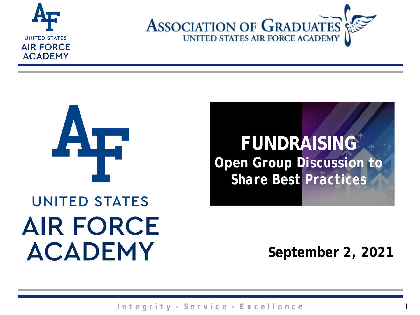





### **FUNDRAISING** *Open Group Discussion to Share Best Practices*

# **UNITED STATES AIR FORCE ACADEMY**

**September 2, 2021**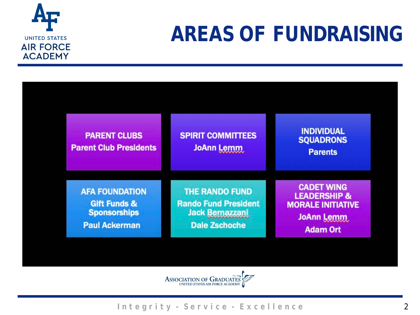

### **AREAS OF FUNDRAISING**

| <b>PARENT CLUBS</b><br><b>Parent Club Presidents</b>                                            | <b>SPIRIT COMMITTEES</b><br>JoAnn Lemm                                                                 | <b>INDIVIDUAL</b><br><b>SQUADRONS</b><br><b>Parents</b>                                                   |
|-------------------------------------------------------------------------------------------------|--------------------------------------------------------------------------------------------------------|-----------------------------------------------------------------------------------------------------------|
| <b>AFA FOUNDATION</b><br><b>Gift Funds &amp;</b><br><b>Sponsorships</b><br><b>Paul Ackerman</b> | <b>THE RANDO FUND</b><br><b>Rando Fund President</b><br><b>Jack Bernazzani</b><br><b>Dale Zschoche</b> | <b>CADET WING</b><br><b>LEADERSHIP &amp;</b><br><b>MORALE INITIATIVE</b><br>JoAnn Lemm<br><b>Adam Ort</b> |

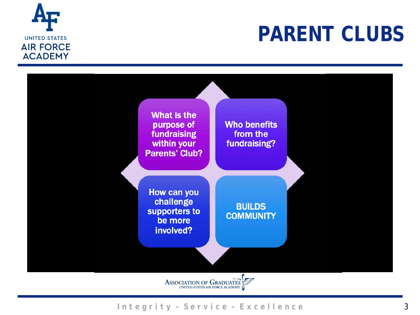

### **PARENT CLUBS**



ASSOCIATION OF GRADUATES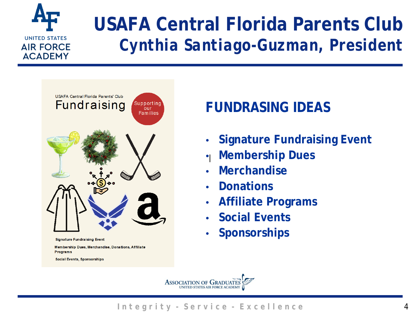

### **USAFA Central Florida Parents Club** *Cynthia Santiago-Guzman, President*



### **FUNDRASING IDEAS**

- **Signature Fundraising Event**
- **Membership Dues**  $\bullet$
- **Merchandise**
- **Donations**
- **Affiliate Programs**
- **Social Events**
- **Sponsorships**

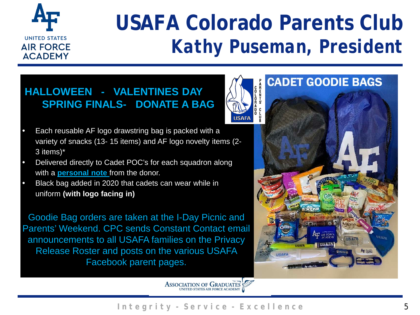

### **USAFA Colorado Parents Club** *Kathy Puseman, President*

#### **HALLOWEEN - VALENTINES DAY SPRING FINALS- DONATE A BAG**



- Delivered directly to Cadet POC's for each squadron along with a **personal note** from the donor.
- Black bag added in 2020 that cadets can wear while in uniform **(with logo facing in)**

Goodie Bag orders are taken at the I-Day Picnic and Parents' Weekend. CPC sends Constant Contact email announcements to all USAFA families on the Privacy Release Roster and posts on the various USAFA Facebook parent pages.



ASSOCIATION OF GRADUATES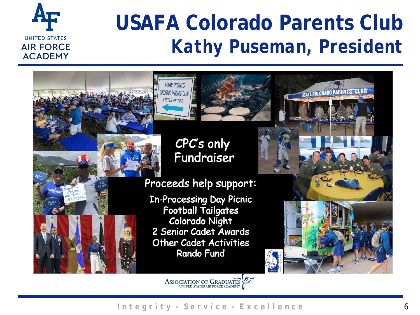

### **USAFA Colorado Parents Club** *Kathy Puseman, President*

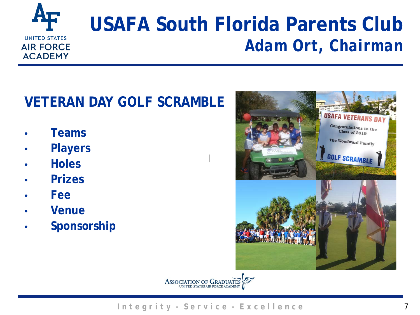

### **USAFA South Florida Parents Club** *Adam Ort, Chairman*

### **VETERAN DAY GOLF SCRAMBLE**

- **Teams**
- **Players**
- **Holes**
- **Prizes**
- **Fee**
- **Venue**
- **Sponsorship**





|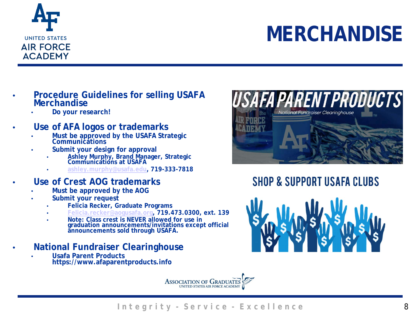

# **MERCHANDISE**

- **Procedure Guidelines for selling USAFA Merchandise**
	- **Do your research!**
- **Use of AFA logos or trademarks**
	- **Must be approved by the USAFA Strategic Communications**
	- **Submit your design for approval**
		- **Ashley Murphy, Brand Manager, Strategic Communications at USAFA**
		- **[ashley.murphy@usafa.edu](mailto:ashley.murphy@usafa.edu), 719-333-7818**
- **Use of Crest AOG trademarks**
	- **Must be approved by the AOG**
	- **Submit your request**
		- **Felicia Recker, Graduate Programs**
		- **[Felicia.recker@aogusafa.org,](mailto:Felicia.recker@aogusafa.org) 719.473.0300, ext. 139**
		- **Note: Class crest is NEVER allowed for use in graduation announcements/invitations except official announcements sold through USAFA.**
- **National Fundraiser Clearinghouse**
	- **Usafa Parent Products https://www.afaparentproducts.info**





**SHOP & SUPPORT USAFA CLUBS** 

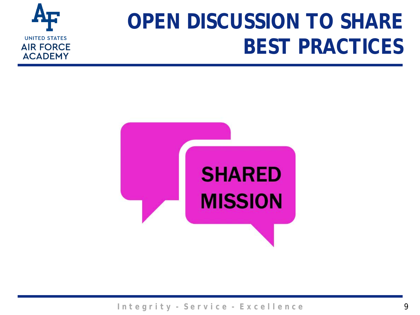

# **OPEN DISCUSSION TO SHARE BEST PRACTICES**